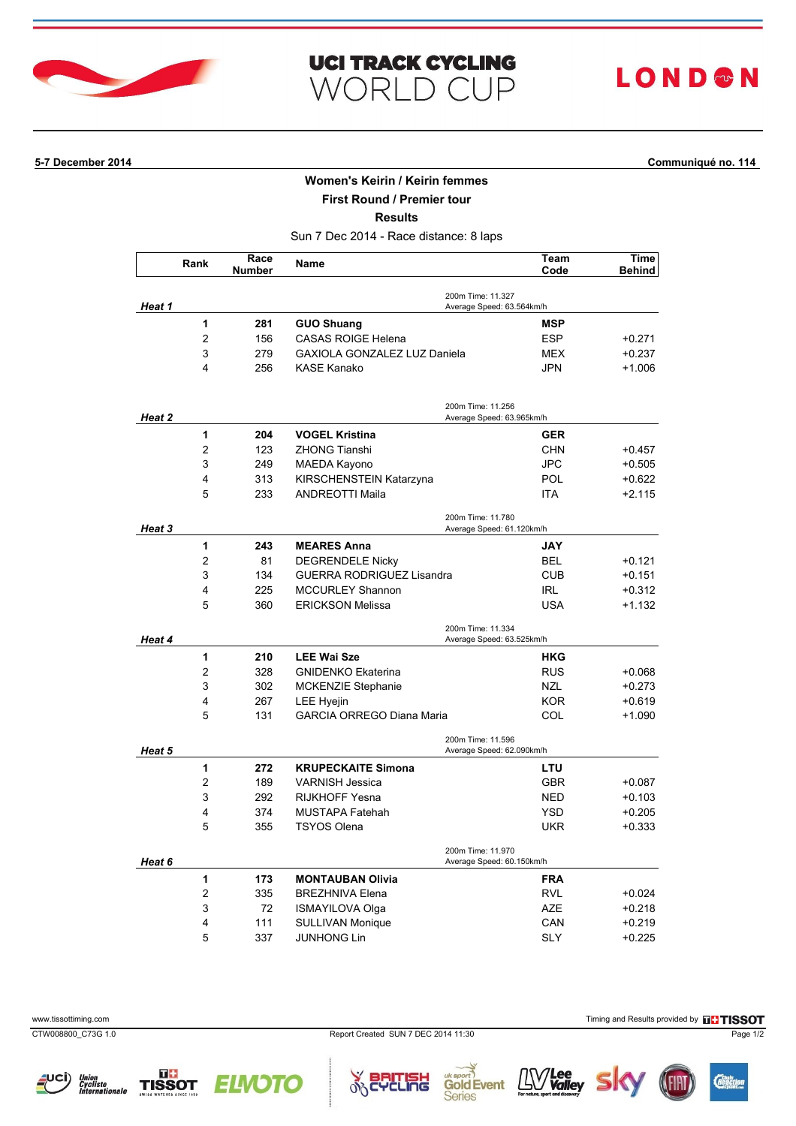

## **LOND®N**

## **5-7 December 2014 Communiqué no. 114**

## **Women's Keirin / Keirin femmes**

**First Round / Premier tour**

**Results**

Sun 7 Dec 2014 - Race distance: 8 laps

|               | Rank                    | Race<br>Number | Name                                | Team<br>Code                                   | Time<br><b>Behind</b> |
|---------------|-------------------------|----------------|-------------------------------------|------------------------------------------------|-----------------------|
| Heat 1        |                         |                |                                     | 200m Time: 11.327<br>Average Speed: 63.564km/h |                       |
|               | 1                       | 281            | <b>GUO Shuang</b>                   | <b>MSP</b>                                     |                       |
|               | $\overline{2}$          | 156            | <b>CASAS ROIGE Helena</b>           | <b>ESP</b>                                     | +0.271                |
|               | 3                       | 279            | <b>GAXIOLA GONZALEZ LUZ Daniela</b> | MEX                                            | +0.237                |
|               | 4                       | 256            | <b>KASE Kanako</b>                  | <b>JPN</b>                                     | +1.006                |
| Heat 2        |                         |                |                                     | 200m Time: 11.256<br>Average Speed: 63.965km/h |                       |
|               | 1                       | 204            | <b>VOGEL Kristina</b>               | <b>GER</b>                                     |                       |
|               | $\overline{2}$          | 123            | <b>ZHONG Tianshi</b>                | <b>CHN</b>                                     | $+0.457$              |
|               | 3                       | 249            | MAEDA Kayono                        | <b>JPC</b>                                     | $+0.505$              |
|               | 4                       | 313            | KIRSCHENSTEIN Katarzyna             | <b>POL</b>                                     | $+0.622$              |
|               | 5                       | 233            | <b>ANDREOTTI Maila</b>              | <b>ITA</b>                                     | $+2.115$              |
| <b>Heat 3</b> |                         |                |                                     | 200m Time: 11.780<br>Average Speed: 61.120km/h |                       |
|               | 1                       | 243            | <b>MEARES Anna</b>                  | <b>JAY</b>                                     |                       |
|               | 2                       | 81             | <b>DEGRENDELE Nicky</b>             | BEL                                            | $+0.121$              |
|               | 3                       | 134            | <b>GUERRA RODRIGUEZ Lisandra</b>    | <b>CUB</b>                                     | +0.151                |
|               | 4                       | 225            | <b>MCCURLEY Shannon</b>             | <b>IRL</b>                                     | $+0.312$              |
|               | 5                       | 360            | <b>ERICKSON Melissa</b>             | <b>USA</b>                                     | +1.132                |
| Heat 4        |                         |                |                                     | 200m Time: 11.334<br>Average Speed: 63.525km/h |                       |
|               | 1                       | 210            | <b>LEE Wai Sze</b>                  | <b>HKG</b>                                     |                       |
|               | $\overline{2}$          | 328            | <b>GNIDENKO Ekaterina</b>           | <b>RUS</b>                                     | $+0.068$              |
|               | 3                       | 302            | <b>MCKENZIE Stephanie</b>           | <b>NZL</b>                                     | $+0.273$              |
|               | 4                       | 267            | <b>LEE Hyejin</b>                   | <b>KOR</b>                                     | +0.619                |
|               | 5                       | 131            | <b>GARCIA ORREGO Diana Maria</b>    | COL                                            | $+1.090$              |
| Heat 5        |                         |                |                                     | 200m Time: 11.596<br>Average Speed: 62.090km/h |                       |
|               | 1                       | 272            | <b>KRUPECKAITE Simona</b>           | LTU                                            |                       |
|               | $\overline{2}$          | 189            | <b>VARNISH Jessica</b>              | <b>GBR</b>                                     | +0.087                |
|               | 3                       | 292            | <b>RIJKHOFF Yesna</b>               | NED                                            | $+0.103$              |
|               | 4                       | 374            | <b>MUSTAPA Fatehah</b>              | <b>YSD</b>                                     | $+0.205$              |
|               | 5                       | 355            | <b>TSYOS Olena</b>                  | UKR                                            | +0.333                |
| Heat 6        |                         |                |                                     | 200m Time: 11.970<br>Average Speed: 60.150km/h |                       |
|               | 1                       | 173            | <b>MONTAUBAN Olivia</b>             | <b>FRA</b>                                     |                       |
|               | $\overline{\mathbf{c}}$ | 335            | <b>BREZHNIVA Elena</b>              | <b>RVL</b>                                     | +0.024                |
|               | 3                       | 72             | ISMAYILOVA Olga                     | <b>AZE</b>                                     | $+0.218$              |
|               | 4                       | 111            | <b>SULLIVAN Monique</b>             | CAN                                            | $+0.219$              |
|               | 5                       | 337            | JUNHONG Lin                         | <b>SLY</b>                                     | $+0.225$              |

Union<br>Cycliste<br>Internationale

TISSOT

rcLing

Sic



 $\mathbf{L} \mathbf{W}$  **Lee** 

**Gold Event** 

**Series**